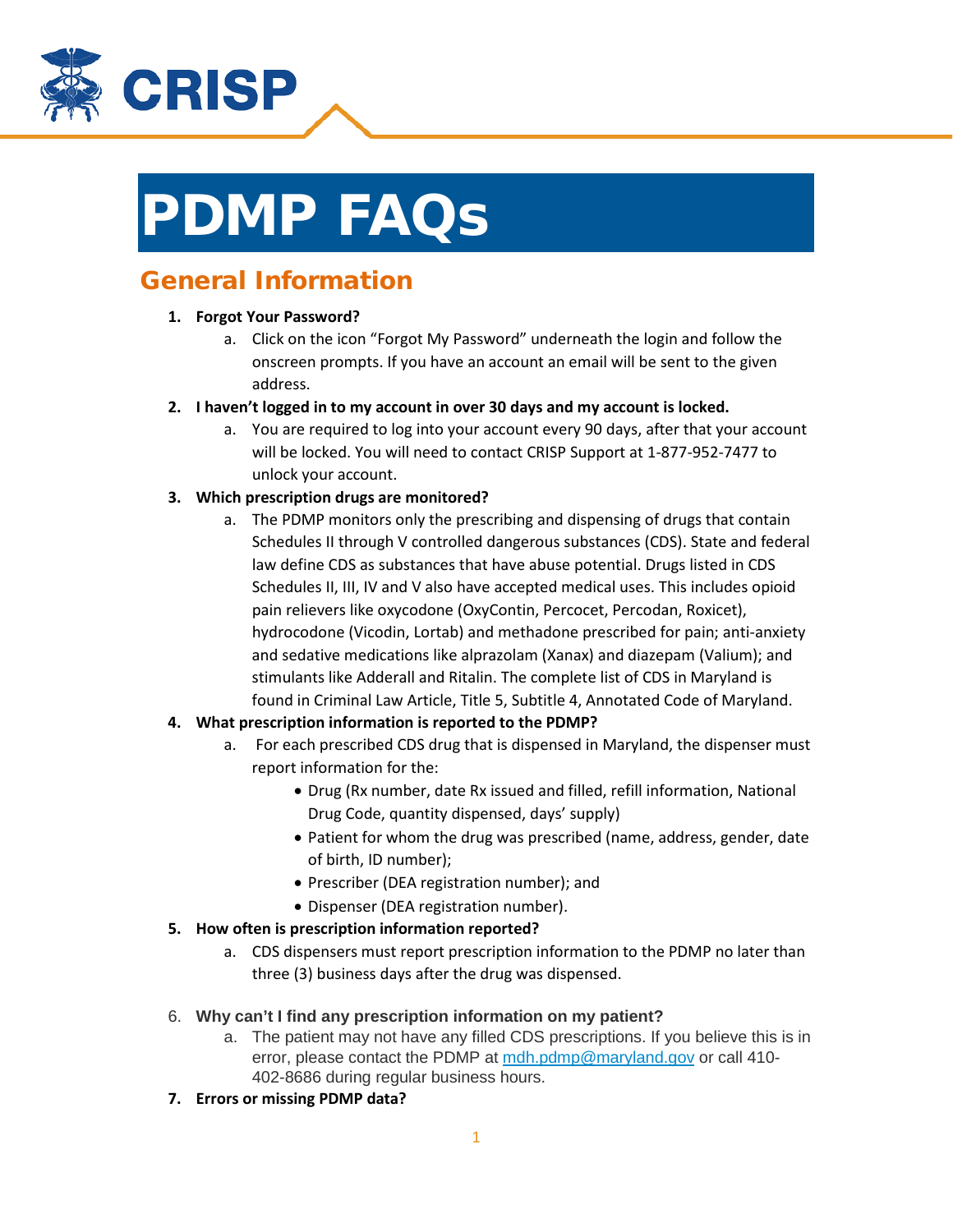

# PDMP FAQs

# General Information

# **1. Forgot Your Password?**

- a. Click on the icon "Forgot My Password" underneath the login and follow the onscreen prompts. If you have an account an email will be sent to the given address.
- **2. I haven't logged in to my account in over 30 days and my account is locked.**
	- a. You are required to log into your account every 90 days, after that your account will be locked. You will need to contact CRISP Support at 1-877-952-7477 to unlock your account.
- **3. Which prescription drugs are monitored?**
	- a. The PDMP monitors only the prescribing and dispensing of drugs that contain Schedules II through V controlled dangerous substances (CDS). State and federal law define CDS as substances that have abuse potential. Drugs listed in CDS Schedules II, III, IV and V also have accepted medical uses. This includes opioid pain relievers like oxycodone (OxyContin, Percocet, Percodan, Roxicet), hydrocodone (Vicodin, Lortab) and methadone prescribed for pain; anti-anxiety and sedative medications like alprazolam (Xanax) and diazepam (Valium); and stimulants like Adderall and Ritalin. The complete list of CDS in Maryland is found in Criminal Law Article, Title 5, Subtitle 4, Annotated Code of Maryland.
- **4. What prescription information is reported to the PDMP?**
	- a. For each prescribed CDS drug that is dispensed in Maryland, the dispenser must report information for the:
		- Drug (Rx number, date Rx issued and filled, refill information, National Drug Code, quantity dispensed, days' supply)
		- Patient for whom the drug was prescribed (name, address, gender, date of birth, ID number);
		- Prescriber (DEA registration number); and
		- Dispenser (DEA registration number).
- **5. How often is prescription information reported?**
	- a. CDS dispensers must report prescription information to the PDMP no later than three (3) business days after the drug was dispensed.
- 6. **Why can't I find any prescription information on my patient?**
	- a. The patient may not have any filled CDS prescriptions. If you believe this is in error, please contact the PDMP at [mdh.pdmp@maryland.gov](mailto:mdh.pdmp@maryland.gov) or call 410-402-8686 during regular business hours.
- **7. Errors or missing PDMP data?**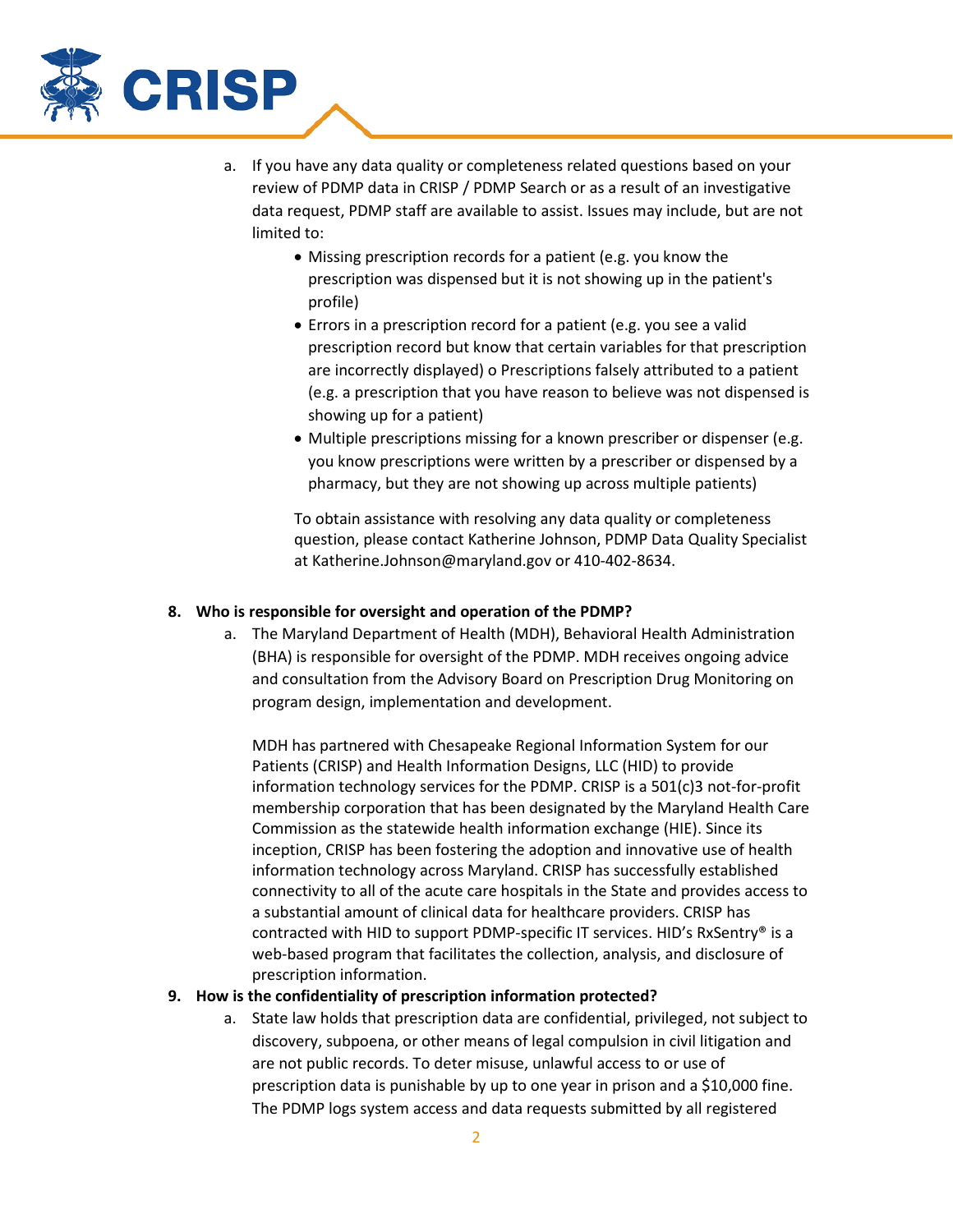

- a. If you have any data quality or completeness related questions based on your review of PDMP data in CRISP / PDMP Search or as a result of an investigative data request, PDMP staff are available to assist. Issues may include, but are not limited to:
	- Missing prescription records for a patient (e.g. you know the prescription was dispensed but it is not showing up in the patient's profile)
	- Errors in a prescription record for a patient (e.g. you see a valid prescription record but know that certain variables for that prescription are incorrectly displayed) o Prescriptions falsely attributed to a patient (e.g. a prescription that you have reason to believe was not dispensed is showing up for a patient)
	- Multiple prescriptions missing for a known prescriber or dispenser (e.g. you know prescriptions were written by a prescriber or dispensed by a pharmacy, but they are not showing up across multiple patients)

To obtain assistance with resolving any data quality or completeness question, please contact Katherine Johnson, PDMP Data Quality Specialist at Katherine.Johnson@maryland.gov or 410-402-8634.

### **8. Who is responsible for oversight and operation of the PDMP?**

a. The Maryland Department of Health (MDH), Behavioral Health Administration (BHA) is responsible for oversight of the PDMP. MDH receives ongoing advice and consultation from the Advisory Board on Prescription Drug Monitoring on program design, implementation and development.

MDH has partnered with Chesapeake Regional Information System for our Patients (CRISP) and Health Information Designs, LLC (HID) to provide information technology services for the PDMP. CRISP is a 501(c)3 not-for-profit membership corporation that has been designated by the Maryland Health Care Commission as the statewide health information exchange (HIE). Since its inception, CRISP has been fostering the adoption and innovative use of health information technology across Maryland. CRISP has successfully established connectivity to all of the acute care hospitals in the State and provides access to a substantial amount of clinical data for healthcare providers. CRISP has contracted with HID to support PDMP-specific IT services. HID's RxSentry® is a web-based program that facilitates the collection, analysis, and disclosure of prescription information.

### **9. How is the confidentiality of prescription information protected?**

a. State law holds that prescription data are confidential, privileged, not subject to discovery, subpoena, or other means of legal compulsion in civil litigation and are not public records. To deter misuse, unlawful access to or use of prescription data is punishable by up to one year in prison and a \$10,000 fine. The PDMP logs system access and data requests submitted by all registered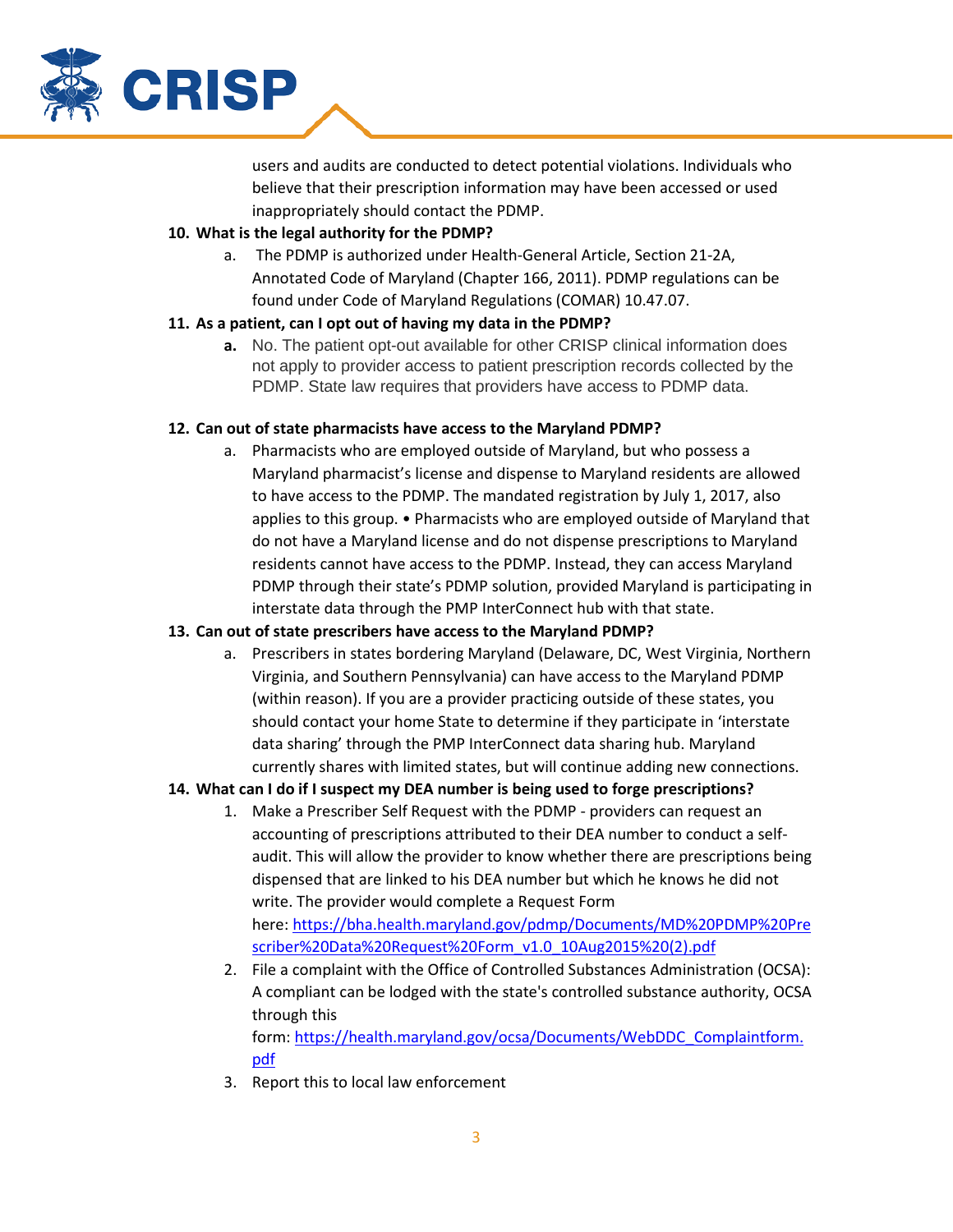

users and audits are conducted to detect potential violations. Individuals who believe that their prescription information may have been accessed or used inappropriately should contact the PDMP.

### **10. What is the legal authority for the PDMP?**

a. The PDMP is authorized under Health-General Article, Section 21-2A, Annotated Code of Maryland (Chapter 166, 2011). PDMP regulations can be found under Code of Maryland Regulations (COMAR) 10.47.07.

## **11. As a patient, can I opt out of having my data in the PDMP?**

**a.** No. The patient opt-out available for other CRISP clinical information does not apply to provider access to patient prescription records collected by the PDMP. State law requires that providers have access to PDMP data.

## **12. Can out of state pharmacists have access to the Maryland PDMP?**

a. Pharmacists who are employed outside of Maryland, but who possess a Maryland pharmacist's license and dispense to Maryland residents are allowed to have access to the PDMP. The mandated registration by July 1, 2017, also applies to this group. • Pharmacists who are employed outside of Maryland that do not have a Maryland license and do not dispense prescriptions to Maryland residents cannot have access to the PDMP. Instead, they can access Maryland PDMP through their state's PDMP solution, provided Maryland is participating in interstate data through the PMP InterConnect hub with that state.

## **13. Can out of state prescribers have access to the Maryland PDMP?**

a. Prescribers in states bordering Maryland (Delaware, DC, West Virginia, Northern Virginia, and Southern Pennsylvania) can have access to the Maryland PDMP (within reason). If you are a provider practicing outside of these states, you should contact your home State to determine if they participate in 'interstate data sharing' through the PMP InterConnect data sharing hub. Maryland currently shares with limited states, but will continue adding new connections.

## **14. What can I do if I suspect my DEA number is being used to forge prescriptions?**

- 1. Make a Prescriber Self Request with the PDMP providers can request an accounting of prescriptions attributed to their DEA number to conduct a selfaudit. This will allow the provider to know whether there are prescriptions being dispensed that are linked to his DEA number but which he knows he did not write. The provider would complete a Request Form here: [https://bha.health.maryland.gov/pdmp/Documents/MD%20PDMP%20Pre](https://bha.health.maryland.gov/pdmp/Documents/MD%20PDMP%20Prescriber%20Data%20Request%20Form_v1.0_10Aug2015%20(2).pdf) [scriber%20Data%20Request%20Form\\_v1.0\\_10Aug2015%20\(2\).pdf](https://bha.health.maryland.gov/pdmp/Documents/MD%20PDMP%20Prescriber%20Data%20Request%20Form_v1.0_10Aug2015%20(2).pdf)
- 2. File a complaint with the Office of Controlled Substances Administration (OCSA): A compliant can be lodged with the state's controlled substance authority, OCSA through this form: [https://health.maryland.gov/ocsa/Documents/WebDDC\\_Complaintform.](https://health.maryland.gov/ocsa/Documents/WebDDC_Complaintform.pdf)
- 3. Report this to local law enforcement

[pdf](https://health.maryland.gov/ocsa/Documents/WebDDC_Complaintform.pdf)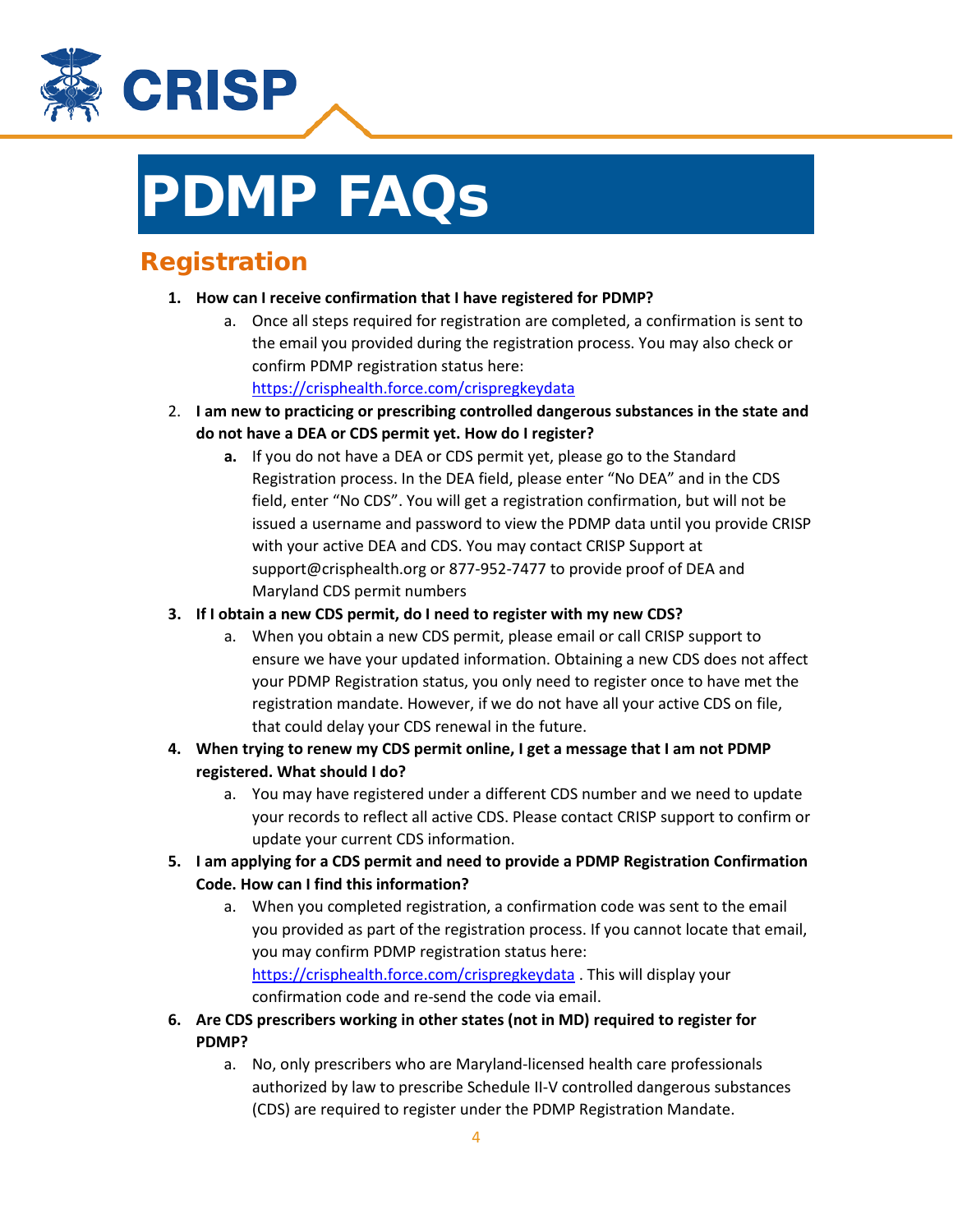

# PDMP FAQs

# Registration

- **1. How can I receive confirmation that I have registered for PDMP?**
	- a. Once all steps required for registration are completed, a confirmation is sent to the email you provided during the registration process. You may also check or confirm PDMP registration status here:
		- <https://crisphealth.force.com/crispregkeydata>
- 2. **I am new to practicing or prescribing controlled dangerous substances in the state and do not have a DEA or CDS permit yet. How do I register?**
	- **a.** If you do not have a DEA or CDS permit yet, please go to the Standard Registration process. In the DEA field, please enter "No DEA" and in the CDS field, enter "No CDS". You will get a registration confirmation, but will not be issued a username and password to view the PDMP data until you provide CRISP with your active DEA and CDS. You may contact CRISP Support at support@crisphealth.org or 877-952-7477 to provide proof of DEA and Maryland CDS permit numbers
- **3. If I obtain a new CDS permit, do I need to register with my new CDS?**
	- a. When you obtain a new CDS permit, please email or call CRISP support to ensure we have your updated information. Obtaining a new CDS does not affect your PDMP Registration status, you only need to register once to have met the registration mandate. However, if we do not have all your active CDS on file, that could delay your CDS renewal in the future.
- **4. When trying to renew my CDS permit online, I get a message that I am not PDMP registered. What should I do?**
	- a. You may have registered under a different CDS number and we need to update your records to reflect all active CDS. Please contact CRISP support to confirm or update your current CDS information.
- **5. I am applying for a CDS permit and need to provide a PDMP Registration Confirmation Code. How can I find this information?**
	- a. When you completed registration, a confirmation code was sent to the email you provided as part of the registration process. If you cannot locate that email, you may confirm PDMP registration status here: <https://crisphealth.force.com/crispregkeydata> . This will display your confirmation code and re-send the code via email.
- **6. Are CDS prescribers working in other states (not in MD) required to register for PDMP?**
	- a. No, only prescribers who are Maryland-licensed health care professionals authorized by law to prescribe Schedule II-V controlled dangerous substances (CDS) are required to register under the PDMP Registration Mandate.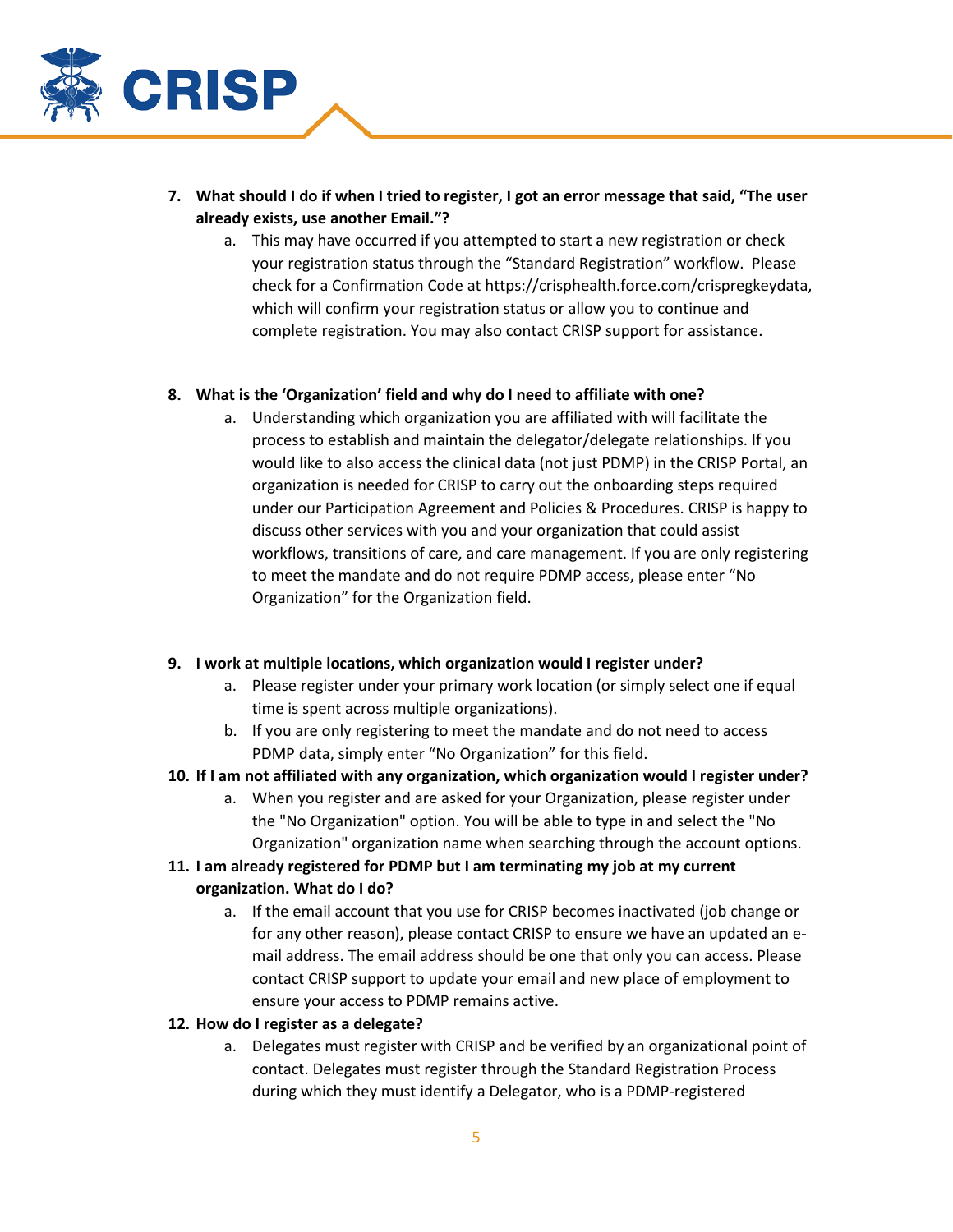

- **7. What should I do if when I tried to register, I got an error message that said, "The user already exists, use another Email."?**
	- a. This may have occurred if you attempted to start a new registration or check your registration status through the "Standard Registration" workflow. Please check for a Confirmation Code at https://crisphealth.force.com/crispregkeydata, which will confirm your registration status or allow you to continue and complete registration. You may also contact CRISP support for assistance.

### **8. What is the 'Organization' field and why do I need to affiliate with one?**

a. Understanding which organization you are affiliated with will facilitate the process to establish and maintain the delegator/delegate relationships. If you would like to also access the clinical data (not just PDMP) in the CRISP Portal, an organization is needed for CRISP to carry out the onboarding steps required under our Participation Agreement and Policies & Procedures. CRISP is happy to discuss other services with you and your organization that could assist workflows, transitions of care, and care management. If you are only registering to meet the mandate and do not require PDMP access, please enter "No Organization" for the Organization field.

## **9. I work at multiple locations, which organization would I register under?**

- a. Please register under your primary work location (or simply select one if equal time is spent across multiple organizations).
- b. If you are only registering to meet the mandate and do not need to access PDMP data, simply enter "No Organization" for this field.
- **10. If I am not affiliated with any organization, which organization would I register under?**
	- a. When you register and are asked for your Organization, please register under the "No Organization" option. You will be able to type in and select the "No Organization" organization name when searching through the account options.

## **11. I am already registered for PDMP but I am terminating my job at my current organization. What do I do?**

a. If the email account that you use for CRISP becomes inactivated (job change or for any other reason), please contact CRISP to ensure we have an updated an email address. The email address should be one that only you can access. Please contact CRISP support to update your email and new place of employment to ensure your access to PDMP remains active.

### **12. How do I register as a delegate?**

a. Delegates must register with CRISP and be verified by an organizational point of contact. Delegates must register through the Standard Registration Process during which they must identify a Delegator, who is a PDMP-registered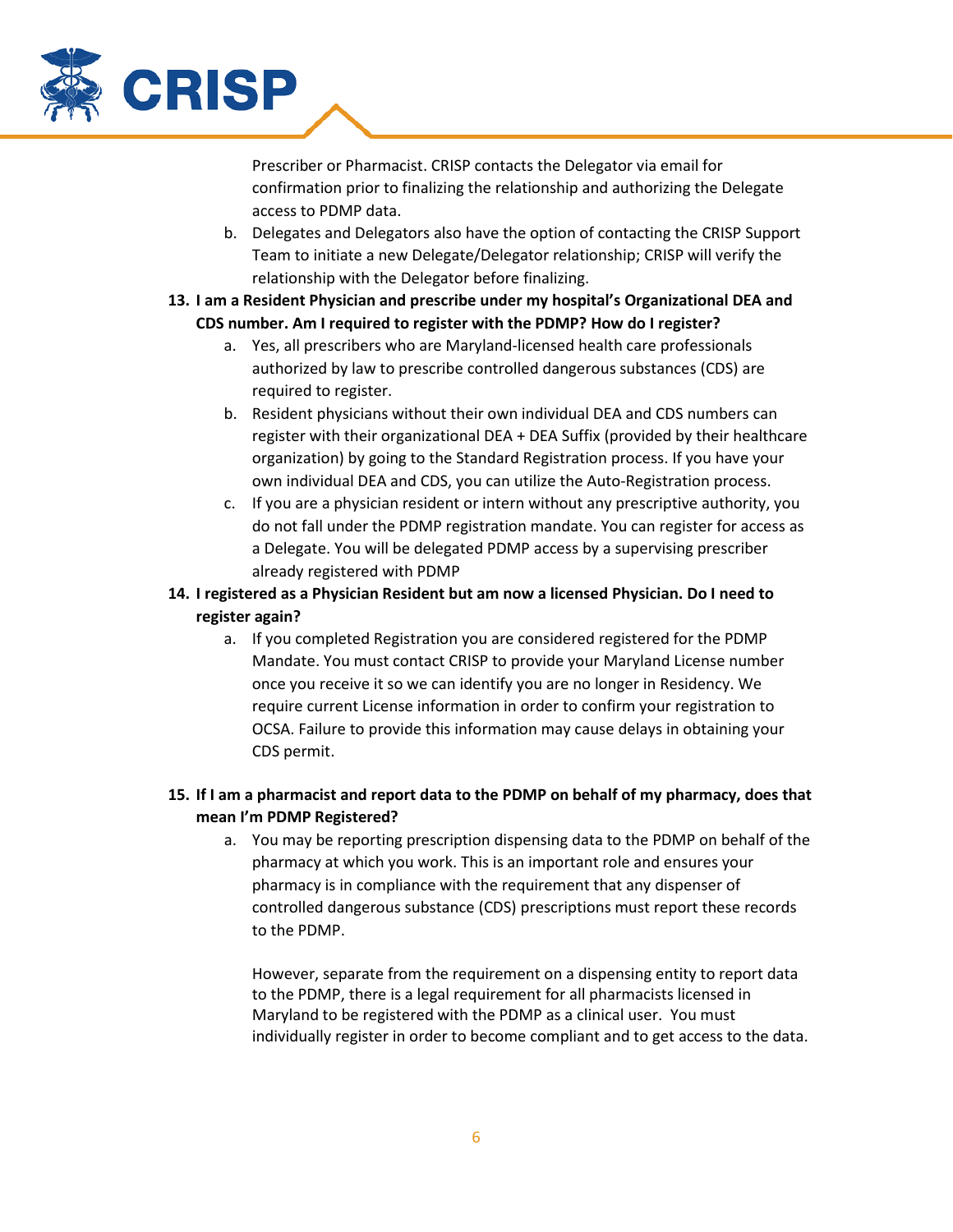

Prescriber or Pharmacist. CRISP contacts the Delegator via email for confirmation prior to finalizing the relationship and authorizing the Delegate access to PDMP data.

- b. Delegates and Delegators also have the option of contacting the CRISP Support Team to initiate a new Delegate/Delegator relationship; CRISP will verify the relationship with the Delegator before finalizing.
- **13. I am a Resident Physician and prescribe under my hospital's Organizational DEA and CDS number. Am I required to register with the PDMP? How do I register?**
	- a. Yes, all prescribers who are Maryland-licensed health care professionals authorized by law to prescribe controlled dangerous substances (CDS) are required to register.
	- b. Resident physicians without their own individual DEA and CDS numbers can register with their organizational DEA + DEA Suffix (provided by their healthcare organization) by going to the Standard Registration process. If you have your own individual DEA and CDS, you can utilize the Auto-Registration process.
	- c. If you are a physician resident or intern without any prescriptive authority, you do not fall under the PDMP registration mandate. You can register for access as a Delegate. You will be delegated PDMP access by a supervising prescriber already registered with PDMP
- **14. I registered as a Physician Resident but am now a licensed Physician. Do I need to register again?**
	- a. If you completed Registration you are considered registered for the PDMP Mandate. You must contact CRISP to provide your Maryland License number once you receive it so we can identify you are no longer in Residency. We require current License information in order to confirm your registration to OCSA. Failure to provide this information may cause delays in obtaining your CDS permit.

# **15. If I am a pharmacist and report data to the PDMP on behalf of my pharmacy, does that mean I'm PDMP Registered?**

a. You may be reporting prescription dispensing data to the PDMP on behalf of the pharmacy at which you work. This is an important role and ensures your pharmacy is in compliance with the requirement that any dispenser of controlled dangerous substance (CDS) prescriptions must report these records to the PDMP.

However, separate from the requirement on a dispensing entity to report data to the PDMP, there is a legal requirement for all pharmacists licensed in Maryland to be registered with the PDMP as a clinical user. You must individually register in order to become compliant and to get access to the data.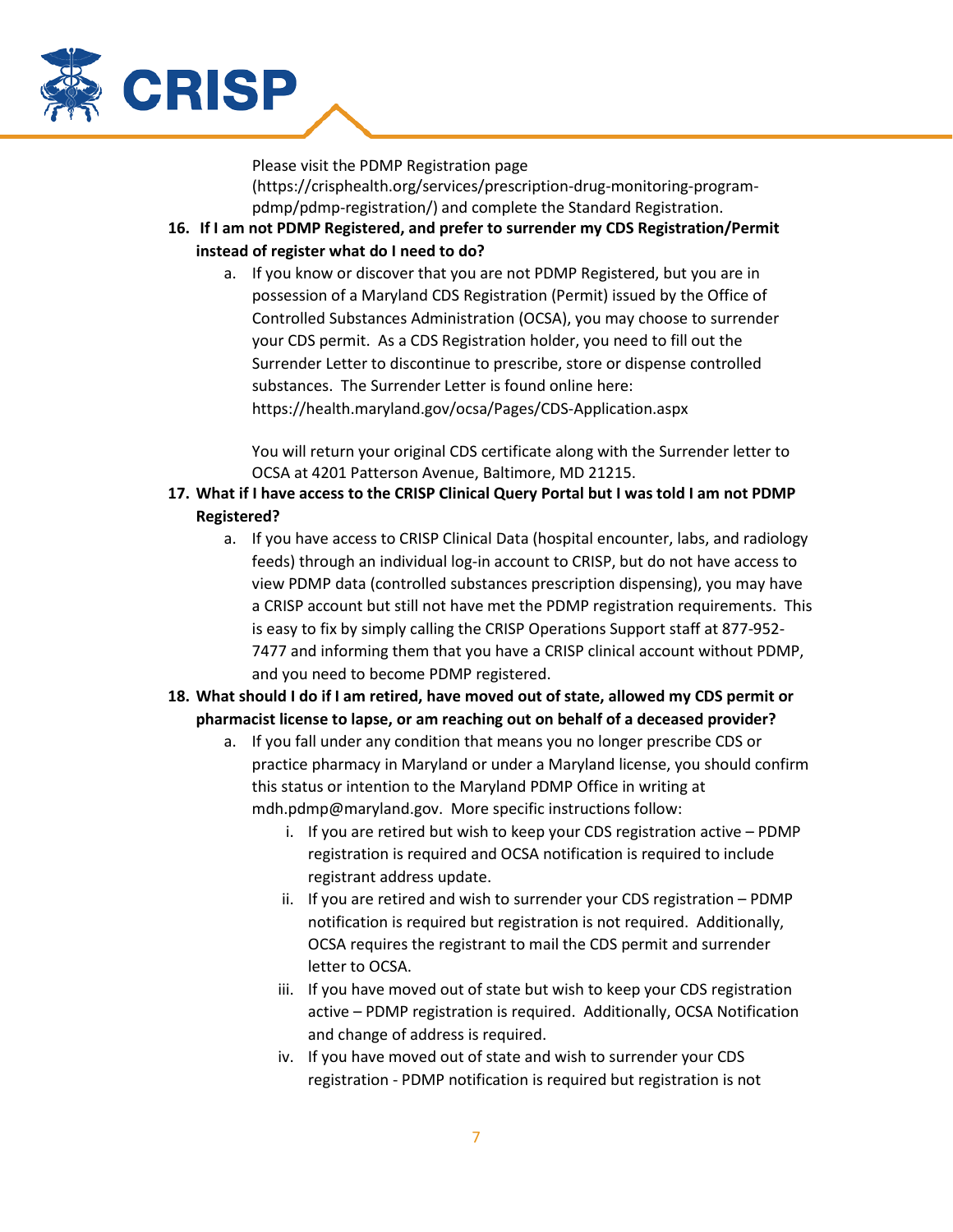

Please visit the PDMP Registration page (https://crisphealth.org/services/prescription-drug-monitoring-programpdmp/pdmp-registration/) and complete the Standard Registration.

- **16. If I am not PDMP Registered, and prefer to surrender my CDS Registration/Permit instead of register what do I need to do?**
	- a. If you know or discover that you are not PDMP Registered, but you are in possession of a Maryland CDS Registration (Permit) issued by the Office of Controlled Substances Administration (OCSA), you may choose to surrender your CDS permit. As a CDS Registration holder, you need to fill out the Surrender Letter to discontinue to prescribe, store or dispense controlled substances. The Surrender Letter is found online here: https://health.maryland.gov/ocsa/Pages/CDS-Application.aspx

You will return your original CDS certificate along with the Surrender letter to OCSA at 4201 Patterson Avenue, Baltimore, MD 21215.

- **17. What if I have access to the CRISP Clinical Query Portal but I was told I am not PDMP Registered?**
	- a. If you have access to CRISP Clinical Data (hospital encounter, labs, and radiology feeds) through an individual log-in account to CRISP, but do not have access to view PDMP data (controlled substances prescription dispensing), you may have a CRISP account but still not have met the PDMP registration requirements. This is easy to fix by simply calling the CRISP Operations Support staff at 877-952- 7477 and informing them that you have a CRISP clinical account without PDMP, and you need to become PDMP registered.
- **18. What should I do if I am retired, have moved out of state, allowed my CDS permit or pharmacist license to lapse, or am reaching out on behalf of a deceased provider?**
	- a. If you fall under any condition that means you no longer prescribe CDS or practice pharmacy in Maryland or under a Maryland license, you should confirm this status or intention to the Maryland PDMP Office in writing at mdh.pdmp@maryland.gov. More specific instructions follow:
		- i. If you are retired but wish to keep your CDS registration active PDMP registration is required and OCSA notification is required to include registrant address update.
		- ii. If you are retired and wish to surrender your CDS registration PDMP notification is required but registration is not required. Additionally, OCSA requires the registrant to mail the CDS permit and surrender letter to OCSA.
		- iii. If you have moved out of state but wish to keep your CDS registration active – PDMP registration is required. Additionally, OCSA Notification and change of address is required.
		- iv. If you have moved out of state and wish to surrender your CDS registration - PDMP notification is required but registration is not